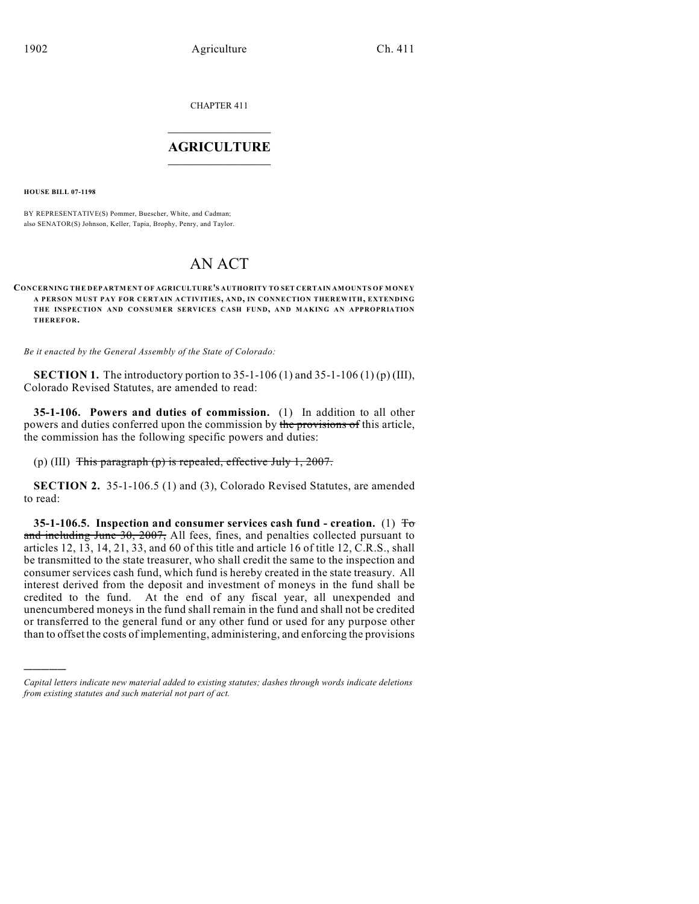CHAPTER 411  $\mathcal{L}_\text{max}$  . The set of the set of the set of the set of the set of the set of the set of the set of the set of the set of the set of the set of the set of the set of the set of the set of the set of the set of the set

## **AGRICULTURE**  $\_$   $\_$   $\_$   $\_$   $\_$   $\_$   $\_$   $\_$

**HOUSE BILL 07-1198**

)))))

BY REPRESENTATIVE(S) Pommer, Buescher, White, and Cadman; also SENATOR(S) Johnson, Keller, Tapia, Brophy, Penry, and Taylor.

# AN ACT

**CONCERNING THE DEPARTM ENT OF AGRICULTURE'S AUTHORITY TO SET CERTAIN AMOUNTS OF MONEY A PERSON MUST PAY FOR CERTAIN ACTIVITIES, AND, IN CONNECTION THEREWITH, EXTENDING THE INSPECTION AND CONSUMER SERVICES CASH FUND, AND M AKING AN APPROPRIATION THEREFOR.**

*Be it enacted by the General Assembly of the State of Colorado:*

**SECTION 1.** The introductory portion to 35-1-106 (1) and 35-1-106 (1) (p) (III), Colorado Revised Statutes, are amended to read:

**35-1-106. Powers and duties of commission.** (1) In addition to all other powers and duties conferred upon the commission by the provisions of this article, the commission has the following specific powers and duties:

(p) (III) This paragraph (p) is repealed, effective July 1, 2007.

**SECTION 2.** 35-1-106.5 (1) and (3), Colorado Revised Statutes, are amended to read:

**35-1-106.5. Inspection and consumer services cash fund - creation.** (1) To and including June 30, 2007, All fees, fines, and penalties collected pursuant to articles 12, 13, 14, 21, 33, and 60 of this title and article 16 of title 12, C.R.S., shall be transmitted to the state treasurer, who shall credit the same to the inspection and consumer services cash fund, which fund is hereby created in the state treasury. All interest derived from the deposit and investment of moneys in the fund shall be credited to the fund. At the end of any fiscal year, all unexpended and unencumbered moneys in the fund shall remain in the fund and shall not be credited or transferred to the general fund or any other fund or used for any purpose other than to offset the costs of implementing, administering, and enforcing the provisions

*Capital letters indicate new material added to existing statutes; dashes through words indicate deletions from existing statutes and such material not part of act.*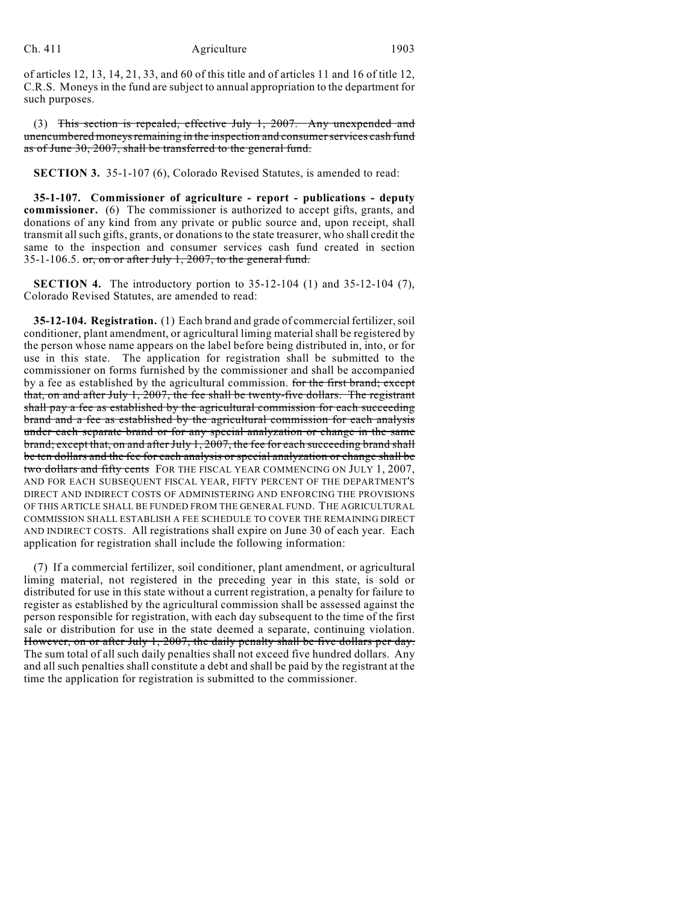of articles 12, 13, 14, 21, 33, and 60 of this title and of articles 11 and 16 of title 12, C.R.S. Moneys in the fund are subject to annual appropriation to the department for such purposes.

(3) This section is repealed, effective July 1, 2007. Any unexpended and unencumbered moneys remaining in the inspection and consumer services cash fund as of June 30, 2007, shall be transferred to the general fund.

**SECTION 3.** 35-1-107 (6), Colorado Revised Statutes, is amended to read:

**35-1-107. Commissioner of agriculture - report - publications - deputy commissioner.** (6) The commissioner is authorized to accept gifts, grants, and donations of any kind from any private or public source and, upon receipt, shall transmit all such gifts, grants, or donations to the state treasurer, who shall credit the same to the inspection and consumer services cash fund created in section 35-1-106.5. or, on or after July 1, 2007, to the general fund.

**SECTION 4.** The introductory portion to 35-12-104 (1) and 35-12-104 (7), Colorado Revised Statutes, are amended to read:

**35-12-104. Registration.** (1) Each brand and grade of commercial fertilizer, soil conditioner, plant amendment, or agricultural liming material shall be registered by the person whose name appears on the label before being distributed in, into, or for use in this state. The application for registration shall be submitted to the commissioner on forms furnished by the commissioner and shall be accompanied by a fee as established by the agricultural commission. for the first brand; except that, on and after July 1, 2007, the fee shall be twenty-five dollars. The registrant shall pay a fee as established by the agricultural commission for each succeeding brand and a fee as established by the agricultural commission for each analysis under each separate brand or for any special analyzation or change in the same brand; except that, on and after July 1, 2007, the fee for each succeeding brand shall be ten dollars and the fee for each analysis or special analyzation or change shall be two dollars and fifty cents FOR THE FISCAL YEAR COMMENCING ON JULY 1, 2007, AND FOR EACH SUBSEQUENT FISCAL YEAR, FIFTY PERCENT OF THE DEPARTMENT'S DIRECT AND INDIRECT COSTS OF ADMINISTERING AND ENFORCING THE PROVISIONS OF THIS ARTICLE SHALL BE FUNDED FROM THE GENERAL FUND. THE AGRICULTURAL COMMISSION SHALL ESTABLISH A FEE SCHEDULE TO COVER THE REMAINING DIRECT AND INDIRECT COSTS. All registrations shall expire on June 30 of each year. Each application for registration shall include the following information:

(7) If a commercial fertilizer, soil conditioner, plant amendment, or agricultural liming material, not registered in the preceding year in this state, is sold or distributed for use in this state without a current registration, a penalty for failure to register as established by the agricultural commission shall be assessed against the person responsible for registration, with each day subsequent to the time of the first sale or distribution for use in the state deemed a separate, continuing violation. However, on or after July 1, 2007, the daily penalty shall be five dollars per day. The sum total of all such daily penalties shall not exceed five hundred dollars. Any and all such penalties shall constitute a debt and shall be paid by the registrant at the time the application for registration is submitted to the commissioner.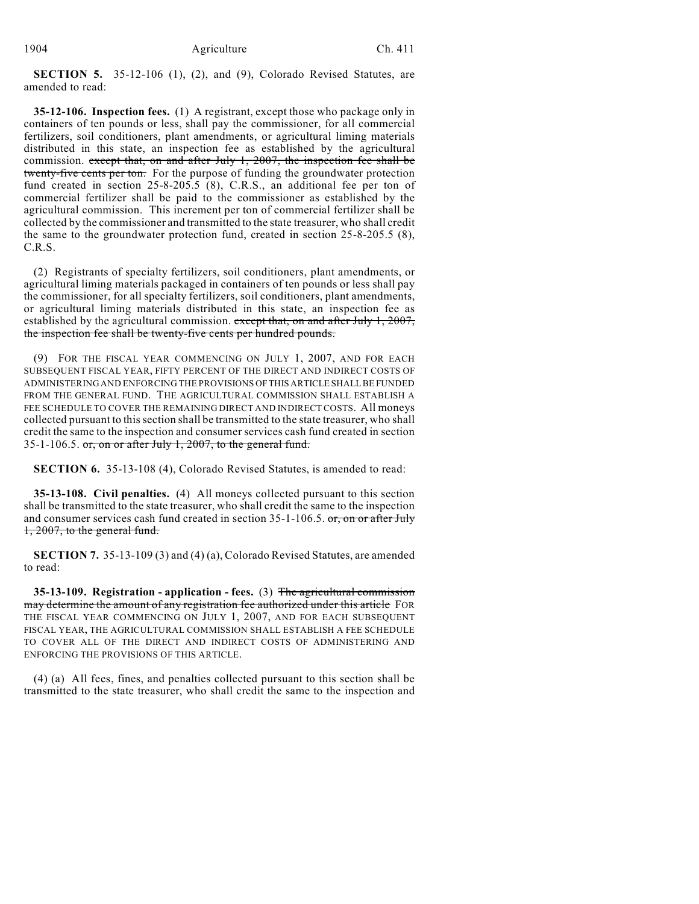**SECTION 5.** 35-12-106 (1), (2), and (9), Colorado Revised Statutes, are amended to read:

**35-12-106. Inspection fees.** (1) A registrant, except those who package only in containers of ten pounds or less, shall pay the commissioner, for all commercial fertilizers, soil conditioners, plant amendments, or agricultural liming materials distributed in this state, an inspection fee as established by the agricultural commission. except that, on and after July 1, 2007, the inspection fee shall be twenty-five cents per ton. For the purpose of funding the groundwater protection fund created in section 25-8-205.5 (8), C.R.S., an additional fee per ton of commercial fertilizer shall be paid to the commissioner as established by the agricultural commission. This increment per ton of commercial fertilizer shall be collected by the commissioner and transmitted to the state treasurer, who shall credit the same to the groundwater protection fund, created in section 25-8-205.5 (8), C.R.S.

(2) Registrants of specialty fertilizers, soil conditioners, plant amendments, or agricultural liming materials packaged in containers of ten pounds or less shall pay the commissioner, for all specialty fertilizers, soil conditioners, plant amendments, or agricultural liming materials distributed in this state, an inspection fee as established by the agricultural commission. except that, on and after July 1, 2007, the inspection fee shall be twenty-five cents per hundred pounds.

(9) FOR THE FISCAL YEAR COMMENCING ON JULY 1, 2007, AND FOR EACH SUBSEQUENT FISCAL YEAR, FIFTY PERCENT OF THE DIRECT AND INDIRECT COSTS OF ADMINISTERING AND ENFORCING THE PROVISIONS OF THIS ARTICLE SHALL BE FUNDED FROM THE GENERAL FUND. THE AGRICULTURAL COMMISSION SHALL ESTABLISH A FEE SCHEDULE TO COVER THE REMAINING DIRECT AND INDIRECT COSTS. All moneys collected pursuant to this section shall be transmitted to the state treasurer, who shall credit the same to the inspection and consumer services cash fund created in section 35-1-106.5. or, on or after July 1, 2007, to the general fund.

**SECTION 6.** 35-13-108 (4), Colorado Revised Statutes, is amended to read:

**35-13-108. Civil penalties.** (4) All moneys collected pursuant to this section shall be transmitted to the state treasurer, who shall credit the same to the inspection and consumer services cash fund created in section 35-1-106.5. or, on or after July 1, 2007, to the general fund.

**SECTION 7.** 35-13-109 (3) and (4) (a), Colorado Revised Statutes, are amended to read:

**35-13-109. Registration - application - fees.** (3) The agricultural commission may determine the amount of any registration fee authorized under this article FOR THE FISCAL YEAR COMMENCING ON JULY 1, 2007, AND FOR EACH SUBSEQUENT FISCAL YEAR, THE AGRICULTURAL COMMISSION SHALL ESTABLISH A FEE SCHEDULE TO COVER ALL OF THE DIRECT AND INDIRECT COSTS OF ADMINISTERING AND ENFORCING THE PROVISIONS OF THIS ARTICLE.

(4) (a) All fees, fines, and penalties collected pursuant to this section shall be transmitted to the state treasurer, who shall credit the same to the inspection and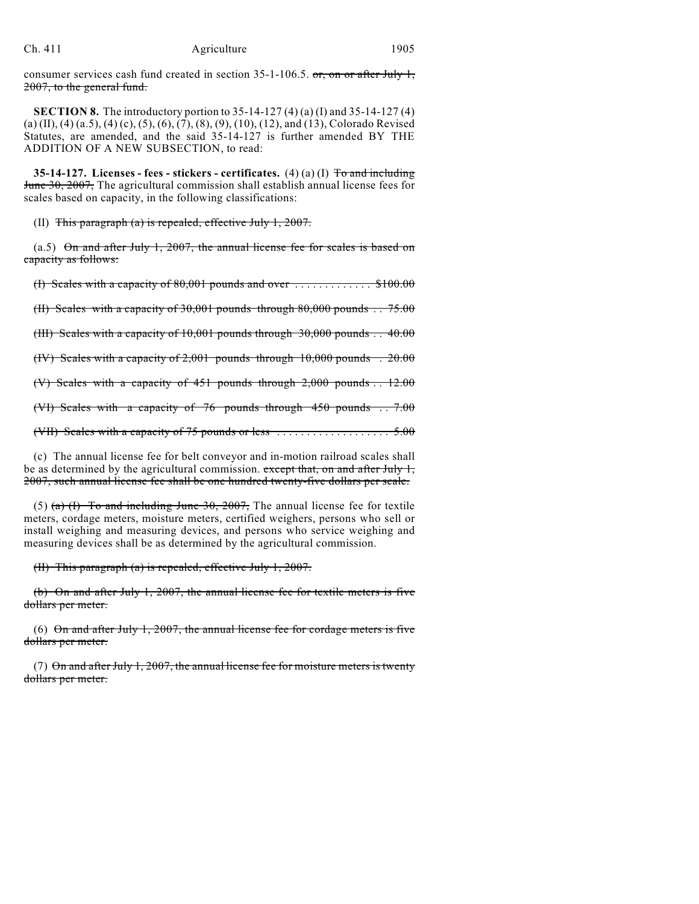consumer services cash fund created in section  $35$ -1-106.5. or, on or after July 1, 2007, to the general fund.

**SECTION 8.** The introductory portion to 35-14-127 (4) (a) (I) and 35-14-127 (4) (a) (II), (4) (a.5), (4) (c), (5), (6), (7), (8), (9), (10), (12), and (13), Colorado Revised Statutes, are amended, and the said 35-14-127 is further amended BY THE ADDITION OF A NEW SUBSECTION, to read:

**35-14-127. Licenses - fees - stickers - certificates.** (4) (a) (I) To and including June 30, 2007, The agricultural commission shall establish annual license fees for scales based on capacity, in the following classifications:

(II) This paragraph (a) is repealed, effective July 1, 2007.

(a.5) On and after July 1, 2007, the annual license fee for scales is based on capacity as follows:

(I) Scales with a capacity of  $80,001$  pounds and over  $\dots\dots\dots\dots$ \$100.00

(II) Scales with a capacity of 30,001 pounds through  $80,000$  pounds  $\therefore$  75.00

(III) Scales with a capacity of 10,001 pounds through 30,000 pounds . . 40.00

(IV) Scales with a capacity of 2,001 pounds through 10,000 pounds . 20.00

(V) Scales with a capacity of  $451$  pounds through  $2,000$  pounds  $\therefore$  12.00

(VI) Scales with a capacity of 76 pounds through 450 pounds . . 7.00

(VII) Scales with a capacity of 75 pounds or less  $\dots\dots\dots\dots\dots\dots$  5.00

(c) The annual license fee for belt conveyor and in-motion railroad scales shall be as determined by the agricultural commission. except that, on and after July 1, 2007, such annual license fee shall be one hundred twenty-five dollars per scale.

(5) (a) (I) To and including June 30, 2007, The annual license fee for textile meters, cordage meters, moisture meters, certified weighers, persons who sell or install weighing and measuring devices, and persons who service weighing and measuring devices shall be as determined by the agricultural commission.

(II) This paragraph (a) is repealed, effective July 1, 2007.

(b) On and after July 1, 2007, the annual license fee for textile meters is five dollars per meter.

(6) On and after July 1, 2007, the annual license fee for cordage meters is five dollars per meter.

(7)  $\Theta$ n and after July 1, 2007, the annual license fee for moisture meters is twenty dollars per meter.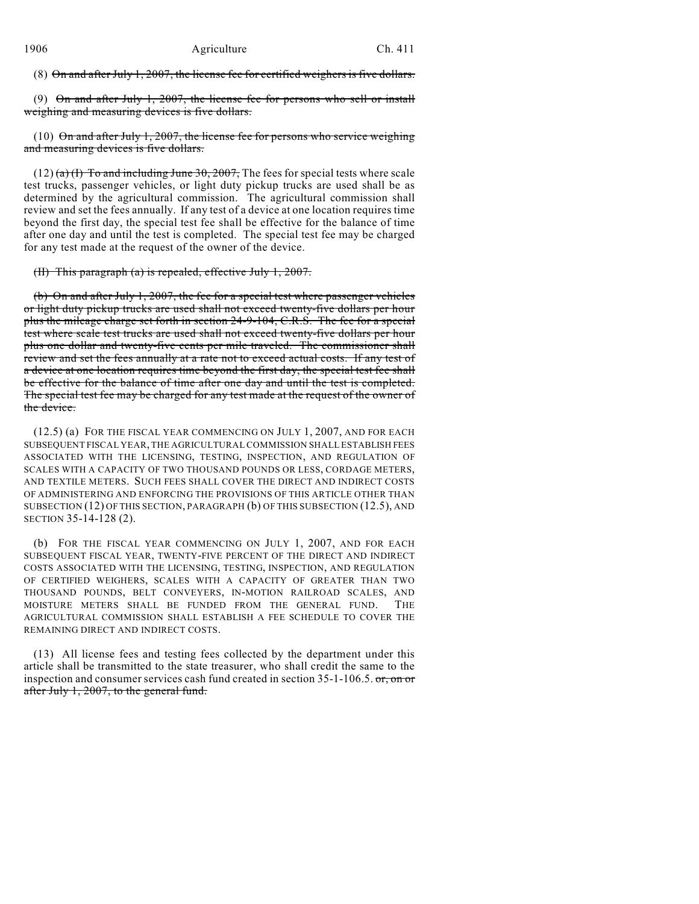(8) On and after July 1, 2007, the license fee for certified weighers is five dollars.

(9) On and after July 1, 2007, the license fee for persons who sell or install weighing and measuring devices is five dollars.

(10)  $\Theta$ n and after July 1, 2007, the license fee for persons who service weighing and measuring devices is five dollars.

 $(12)$  (a) (I) To and including June 30, 2007, The fees for special tests where scale test trucks, passenger vehicles, or light duty pickup trucks are used shall be as determined by the agricultural commission. The agricultural commission shall review and set the fees annually. If any test of a device at one location requires time beyond the first day, the special test fee shall be effective for the balance of time after one day and until the test is completed. The special test fee may be charged for any test made at the request of the owner of the device.

(II) This paragraph (a) is repealed, effective July 1, 2007.

(b) On and after July 1, 2007, the fee for a special test where passenger vehicles or light duty pickup trucks are used shall not exceed twenty-five dollars per hour plus the mileage charge set forth in section 24-9-104, C.R.S. The fee for a special test where scale test trucks are used shall not exceed twenty-five dollars per hour plus one dollar and twenty-five cents per mile traveled. The commissioner shall review and set the fees annually at a rate not to exceed actual costs. If any test of a device at one location requires time beyond the first day, the special test fee shall be effective for the balance of time after one day and until the test is completed. The special test fee may be charged for any test made at the request of the owner of the device.

(12.5) (a) FOR THE FISCAL YEAR COMMENCING ON JULY 1, 2007, AND FOR EACH SUBSEQUENT FISCAL YEAR, THE AGRICULTURAL COMMISSION SHALL ESTABLISH FEES ASSOCIATED WITH THE LICENSING, TESTING, INSPECTION, AND REGULATION OF SCALES WITH A CAPACITY OF TWO THOUSAND POUNDS OR LESS, CORDAGE METERS, AND TEXTILE METERS. SUCH FEES SHALL COVER THE DIRECT AND INDIRECT COSTS OF ADMINISTERING AND ENFORCING THE PROVISIONS OF THIS ARTICLE OTHER THAN SUBSECTION (12) OF THIS SECTION, PARAGRAPH (b) OF THIS SUBSECTION (12.5), AND SECTION 35-14-128 (2).

(b) FOR THE FISCAL YEAR COMMENCING ON JULY 1, 2007, AND FOR EACH SUBSEQUENT FISCAL YEAR, TWENTY-FIVE PERCENT OF THE DIRECT AND INDIRECT COSTS ASSOCIATED WITH THE LICENSING, TESTING, INSPECTION, AND REGULATION OF CERTIFIED WEIGHERS, SCALES WITH A CAPACITY OF GREATER THAN TWO THOUSAND POUNDS, BELT CONVEYERS, IN-MOTION RAILROAD SCALES, AND MOISTURE METERS SHALL BE FUNDED FROM THE GENERAL FUND. THE AGRICULTURAL COMMISSION SHALL ESTABLISH A FEE SCHEDULE TO COVER THE REMAINING DIRECT AND INDIRECT COSTS.

(13) All license fees and testing fees collected by the department under this article shall be transmitted to the state treasurer, who shall credit the same to the inspection and consumer services cash fund created in section 35-1-106.5. or, on or after July 1, 2007, to the general fund.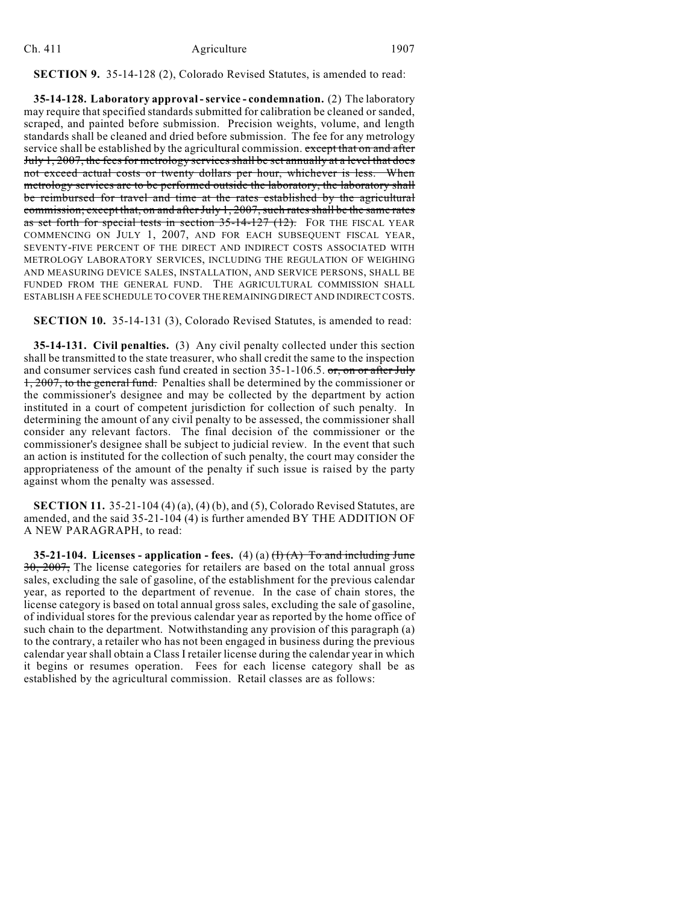#### Ch. 411 Agriculture 1907

# **SECTION 9.** 35-14-128 (2), Colorado Revised Statutes, is amended to read:

**35-14-128. Laboratory approval - service - condemnation.** (2) The laboratory may require that specified standards submitted for calibration be cleaned or sanded, scraped, and painted before submission. Precision weights, volume, and length standards shall be cleaned and dried before submission. The fee for any metrology service shall be established by the agricultural commission. except that on and after July 1, 2007, the fees for metrology services shall be set annually at a level that does not exceed actual costs or twenty dollars per hour, whichever is less. When metrology services are to be performed outside the laboratory, the laboratory shall be reimbursed for travel and time at the rates established by the agricultural commission; except that, on and after July 1, 2007, such rates shall be the same rates as set forth for special tests in section  $35$ -14-127 (12). FOR THE FISCAL YEAR COMMENCING ON JULY 1, 2007, AND FOR EACH SUBSEQUENT FISCAL YEAR, SEVENTY-FIVE PERCENT OF THE DIRECT AND INDIRECT COSTS ASSOCIATED WITH METROLOGY LABORATORY SERVICES, INCLUDING THE REGULATION OF WEIGHING AND MEASURING DEVICE SALES, INSTALLATION, AND SERVICE PERSONS, SHALL BE FUNDED FROM THE GENERAL FUND. THE AGRICULTURAL COMMISSION SHALL ESTABLISH A FEE SCHEDULE TO COVER THE REMAINING DIRECT AND INDIRECT COSTS.

**SECTION 10.** 35-14-131 (3), Colorado Revised Statutes, is amended to read:

**35-14-131. Civil penalties.** (3) Any civil penalty collected under this section shall be transmitted to the state treasurer, who shall credit the same to the inspection and consumer services cash fund created in section 35-1-106.5. or, on or after July 1, 2007, to the general fund. Penalties shall be determined by the commissioner or the commissioner's designee and may be collected by the department by action instituted in a court of competent jurisdiction for collection of such penalty. In determining the amount of any civil penalty to be assessed, the commissioner shall consider any relevant factors. The final decision of the commissioner or the commissioner's designee shall be subject to judicial review. In the event that such an action is instituted for the collection of such penalty, the court may consider the appropriateness of the amount of the penalty if such issue is raised by the party against whom the penalty was assessed.

**SECTION 11.** 35-21-104 (4) (a), (4) (b), and (5), Colorado Revised Statutes, are amended, and the said 35-21-104 (4) is further amended BY THE ADDITION OF A NEW PARAGRAPH, to read:

**35-21-104.** Licenses - application - fees.  $(4)(a)$   $(f)$   $(A)$  To and including June 30, 2007, The license categories for retailers are based on the total annual gross sales, excluding the sale of gasoline, of the establishment for the previous calendar year, as reported to the department of revenue. In the case of chain stores, the license category is based on total annual gross sales, excluding the sale of gasoline, of individual stores for the previous calendar year as reported by the home office of such chain to the department. Notwithstanding any provision of this paragraph (a) to the contrary, a retailer who has not been engaged in business during the previous calendar year shall obtain a Class I retailer license during the calendar year in which it begins or resumes operation. Fees for each license category shall be as established by the agricultural commission. Retail classes are as follows: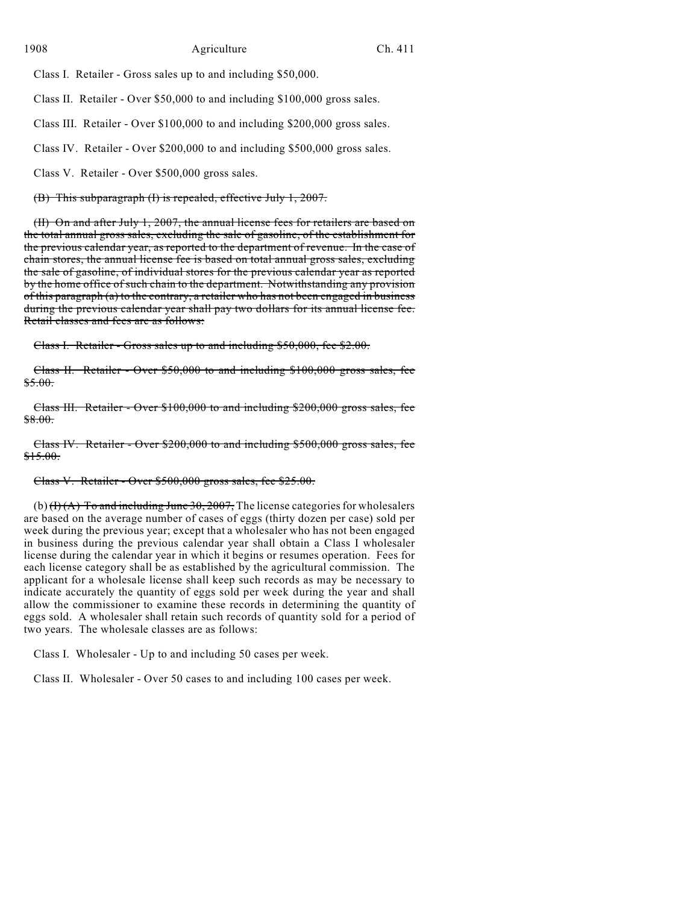Class I. Retailer - Gross sales up to and including \$50,000.

Class II. Retailer - Over \$50,000 to and including \$100,000 gross sales.

Class III. Retailer - Over \$100,000 to and including \$200,000 gross sales.

Class IV. Retailer - Over \$200,000 to and including \$500,000 gross sales.

Class V. Retailer - Over \$500,000 gross sales.

(B) This subparagraph (I) is repealed, effective July 1, 2007.

(II) On and after July 1, 2007, the annual license fees for retailers are based on the total annual gross sales, excluding the sale of gasoline, of the establishment for the previous calendar year, as reported to the department of revenue. In the case of chain stores, the annual license fee is based on total annual gross sales, excluding the sale of gasoline, of individual stores for the previous calendar year as reported by the home office of such chain to the department. Notwithstanding any provision of this paragraph (a) to the contrary, a retailer who has not been engaged in business during the previous calendar year shall pay two dollars for its annual license fee. Retail classes and fees are as follows:

Class I. Retailer - Gross sales up to and including \$50,000, fee \$2.00.

Class II. Retailer - Over \$50,000 to and including \$100,000 gross sales, fee  $$5.00.$ 

Class III. Retailer - Over \$100,000 to and including \$200,000 gross sales, fee \$8.00.

Class IV. Retailer - Over \$200,000 to and including \$500,000 gross sales, fee \$15.00.

# Class V. Retailer - Over \$500,000 gross sales, fee \$25.00.

(b)  $(H(A))$  To and including June 30, 2007, The license categories for wholesalers are based on the average number of cases of eggs (thirty dozen per case) sold per week during the previous year; except that a wholesaler who has not been engaged in business during the previous calendar year shall obtain a Class I wholesaler license during the calendar year in which it begins or resumes operation. Fees for each license category shall be as established by the agricultural commission. The applicant for a wholesale license shall keep such records as may be necessary to indicate accurately the quantity of eggs sold per week during the year and shall allow the commissioner to examine these records in determining the quantity of eggs sold. A wholesaler shall retain such records of quantity sold for a period of two years. The wholesale classes are as follows:

Class I. Wholesaler - Up to and including 50 cases per week.

Class II. Wholesaler - Over 50 cases to and including 100 cases per week.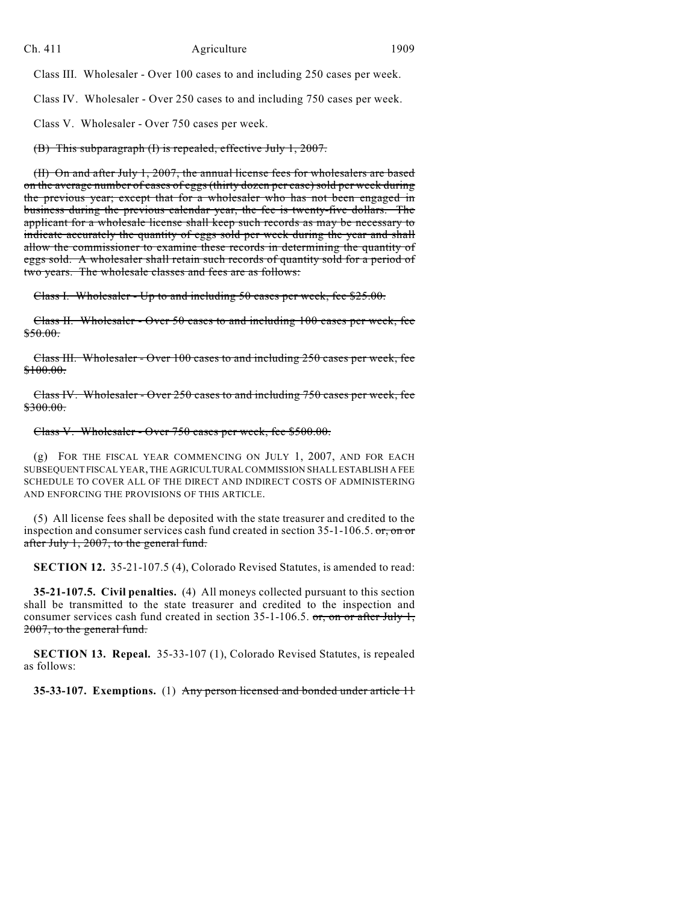Class III. Wholesaler - Over 100 cases to and including 250 cases per week.

Class IV. Wholesaler - Over 250 cases to and including 750 cases per week.

Class V. Wholesaler - Over 750 cases per week.

(B) This subparagraph (I) is repealed, effective July 1, 2007.

(II) On and after July 1, 2007, the annual license fees for wholesalers are based on the average number of cases of eggs (thirty dozen per case) sold per week during the previous year; except that for a wholesaler who has not been engaged in business during the previous calendar year, the fee is twenty-five dollars. The applicant for a wholesale license shall keep such records as may be necessary to indicate accurately the quantity of eggs sold per week during the year and shall allow the commissioner to examine these records in determining the quantity of eggs sold. A wholesaler shall retain such records of quantity sold for a period of two years. The wholesale classes and fees are as follows:

Class I. Wholesaler - Up to and including 50 cases per week, fee \$25.00.

Class II. Wholesaler - Over 50 cases to and including 100 cases per week, fee \$50.00.

Class III. Wholesaler - Over 100 cases to and including 250 cases per week, fee \$100.00.

Class IV. Wholesaler - Over 250 cases to and including 750 cases per week, fee \$300.00.

# Class V. Wholesaler - Over 750 cases per week, fee \$500.00.

(g) FOR THE FISCAL YEAR COMMENCING ON JULY 1, 2007, AND FOR EACH SUBSEQUENT FISCAL YEAR, THE AGRICULTURAL COMMISSION SHALL ESTABLISH A FEE SCHEDULE TO COVER ALL OF THE DIRECT AND INDIRECT COSTS OF ADMINISTERING AND ENFORCING THE PROVISIONS OF THIS ARTICLE.

(5) All license fees shall be deposited with the state treasurer and credited to the inspection and consumer services cash fund created in section 35-1-106.5. or, on or after July 1, 2007, to the general fund.

**SECTION 12.** 35-21-107.5 (4), Colorado Revised Statutes, is amended to read:

**35-21-107.5. Civil penalties.** (4) All moneys collected pursuant to this section shall be transmitted to the state treasurer and credited to the inspection and consumer services cash fund created in section  $35$ -1-106.5. or, on or after July 1, 2007, to the general fund.

**SECTION 13. Repeal.** 35-33-107 (1), Colorado Revised Statutes, is repealed as follows:

**35-33-107. Exemptions.** (1) Any person licensed and bonded under article 11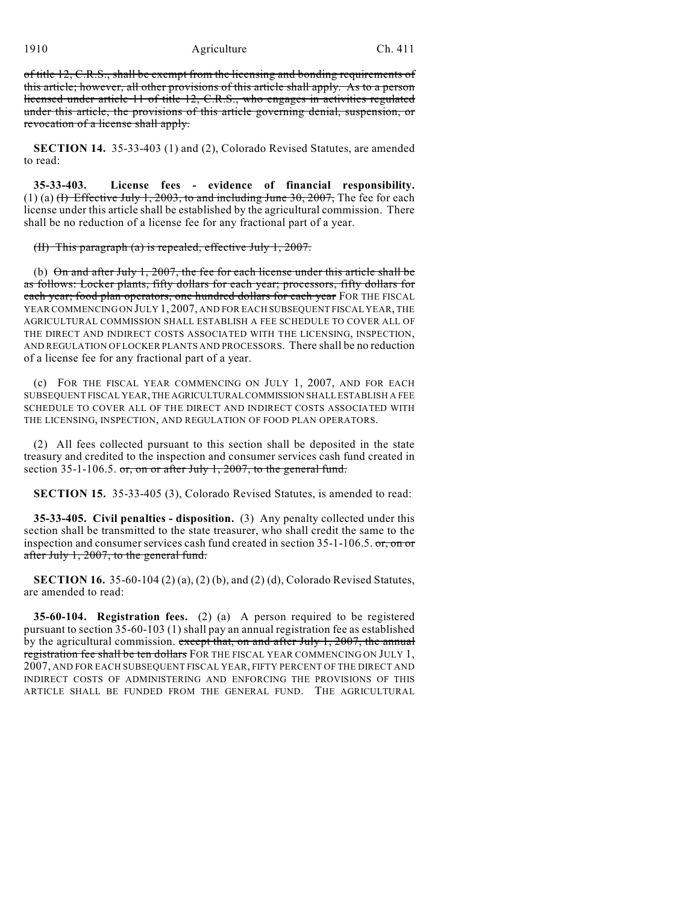#### 1910 **Agriculture** Ch. 411

of title 12, C.R.S., shall be exempt from the licensing and bonding requirements of this article; however, all other provisions of this article shall apply. As to a person licensed under article 11 of title 12, C.R.S., who engages in activities regulated under this article, the provisions of this article governing denial, suspension, or revocation of a license shall apply.

**SECTION 14.** 35-33-403 (1) and (2), Colorado Revised Statutes, are amended to read:

**35-33-403. License fees - evidence of financial responsibility.** (1) (a)  $\overline{H}$  Effective July 1, 2003, to and including June 30, 2007, The fee for each license under this article shall be established by the agricultural commission. There shall be no reduction of a license fee for any fractional part of a year.

#### (II) This paragraph (a) is repealed, effective July 1, 2007.

(b) On and after July 1, 2007, the fee for each license under this article shall be as follows: Locker plants, fifty dollars for each year; processors, fifty dollars for each year; food plan operators, one hundred dollars for each year FOR THE FISCAL YEAR COMMENCING ON JULY 1, 2007, AND FOR EACH SUBSEQUENT FISCAL YEAR, THE AGRICULTURAL COMMISSION SHALL ESTABLISH A FEE SCHEDULE TO COVER ALL OF THE DIRECT AND INDIRECT COSTS ASSOCIATED WITH THE LICENSING, INSPECTION, AND REGULATION OF LOCKER PLANTS AND PROCESSORS. There shall be no reduction of a license fee for any fractional part of a year.

(c) FOR THE FISCAL YEAR COMMENCING ON JULY 1, 2007, AND FOR EACH SUBSEQUENT FISCAL YEAR, THE AGRICULTURAL COMMISSION SHALL ESTABLISH A FEE SCHEDULE TO COVER ALL OF THE DIRECT AND INDIRECT COSTS ASSOCIATED WITH THE LICENSING, INSPECTION, AND REGULATION OF FOOD PLAN OPERATORS.

(2) All fees collected pursuant to this section shall be deposited in the state treasury and credited to the inspection and consumer services cash fund created in section 35-1-106.5.  $or$ , on or after July 1, 2007, to the general fund.

**SECTION 15.** 35-33-405 (3), Colorado Revised Statutes, is amended to read:

**35-33-405. Civil penalties - disposition.** (3) Any penalty collected under this section shall be transmitted to the state treasurer, who shall credit the same to the inspection and consumer services cash fund created in section  $35$ -1-106.5. or, on or after July 1, 2007, to the general fund.

**SECTION 16.** 35-60-104 (2) (a), (2) (b), and (2) (d), Colorado Revised Statutes, are amended to read:

**35-60-104. Registration fees.** (2) (a) A person required to be registered pursuant to section 35-60-103 (1) shall pay an annual registration fee as established by the agricultural commission. except that, on and after July 1, 2007, the annual registration fee shall be ten dollars FOR THE FISCAL YEAR COMMENCING ON JULY 1, 2007, AND FOR EACH SUBSEQUENT FISCAL YEAR, FIFTY PERCENT OF THE DIRECT AND INDIRECT COSTS OF ADMINISTERING AND ENFORCING THE PROVISIONS OF THIS ARTICLE SHALL BE FUNDED FROM THE GENERAL FUND. THE AGRICULTURAL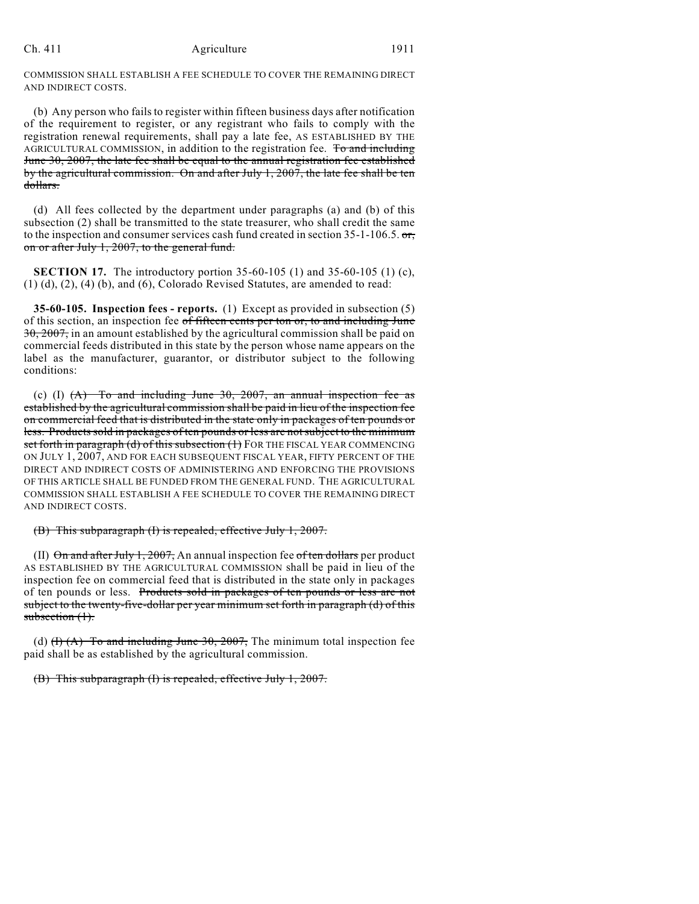#### Ch. 411 Agriculture 1911

COMMISSION SHALL ESTABLISH A FEE SCHEDULE TO COVER THE REMAINING DIRECT AND INDIRECT COSTS.

(b) Any person who fails to register within fifteen business days after notification of the requirement to register, or any registrant who fails to comply with the registration renewal requirements, shall pay a late fee, AS ESTABLISHED BY THE AGRICULTURAL COMMISSION, in addition to the registration fee. To and including June 30, 2007, the late fee shall be equal to the annual registration fee established by the agricultural commission. On and after July 1, 2007, the late fee shall be ten dollars.

(d) All fees collected by the department under paragraphs (a) and (b) of this subsection (2) shall be transmitted to the state treasurer, who shall credit the same to the inspection and consumer services cash fund created in section 35-1-106.5. or, on or after July 1, 2007, to the general fund.

**SECTION 17.** The introductory portion 35-60-105 (1) and 35-60-105 (1) (c), (1) (d), (2), (4) (b), and (6), Colorado Revised Statutes, are amended to read:

**35-60-105. Inspection fees - reports.** (1) Except as provided in subsection (5) of this section, an inspection fee of fifteen cents per ton or, to and including June  $30, 2007$ , in an amount established by the agricultural commission shall be paid on commercial feeds distributed in this state by the person whose name appears on the label as the manufacturer, guarantor, or distributor subject to the following conditions:

(c) (I)  $(A)$  To and including June 30, 2007, an annual inspection fee as established by the agricultural commission shall be paid in lieu of the inspection fee on commercial feed that is distributed in the state only in packages of ten pounds or less. Products sold in packages of ten pounds or less are not subject to the minimum set forth in paragraph (d) of this subsection (1) FOR THE FISCAL YEAR COMMENCING ON JULY 1, 2007, AND FOR EACH SUBSEQUENT FISCAL YEAR, FIFTY PERCENT OF THE DIRECT AND INDIRECT COSTS OF ADMINISTERING AND ENFORCING THE PROVISIONS OF THIS ARTICLE SHALL BE FUNDED FROM THE GENERAL FUND. THE AGRICULTURAL COMMISSION SHALL ESTABLISH A FEE SCHEDULE TO COVER THE REMAINING DIRECT AND INDIRECT COSTS.

## (B) This subparagraph (I) is repealed, effective July 1, 2007.

(II)  $\Theta$ n and after July 1, 2007, An annual inspection fee of ten dollars per product AS ESTABLISHED BY THE AGRICULTURAL COMMISSION shall be paid in lieu of the inspection fee on commercial feed that is distributed in the state only in packages of ten pounds or less. Products sold in packages of ten pounds or less are not subject to the twenty-five-dollar per year minimum set forth in paragraph (d) of this  $subsection (1)$ .

(d)  $(H)$  (A) To and including June 30, 2007, The minimum total inspection fee paid shall be as established by the agricultural commission.

(B) This subparagraph (I) is repealed, effective July 1, 2007.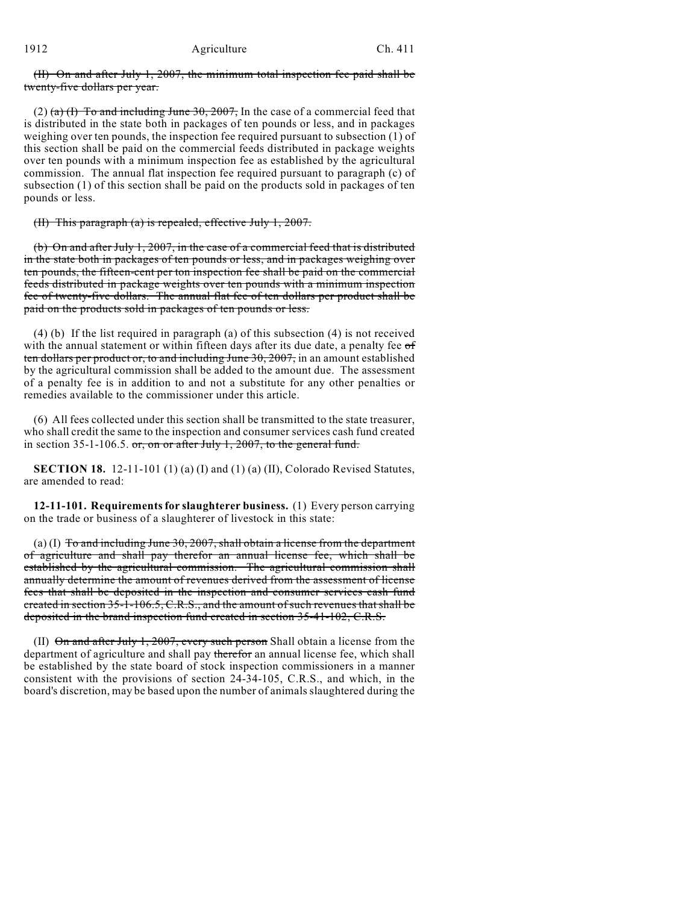(II) On and after July 1, 2007, the minimum total inspection fee paid shall be twenty-five dollars per year.

(2) (a) (I) To and including June 30, 2007, In the case of a commercial feed that is distributed in the state both in packages of ten pounds or less, and in packages weighing over ten pounds, the inspection fee required pursuant to subsection (1) of this section shall be paid on the commercial feeds distributed in package weights over ten pounds with a minimum inspection fee as established by the agricultural commission. The annual flat inspection fee required pursuant to paragraph (c) of subsection (1) of this section shall be paid on the products sold in packages of ten pounds or less.

(II) This paragraph (a) is repealed, effective July 1, 2007.

(b) On and after July 1, 2007, in the case of a commercial feed that is distributed in the state both in packages of ten pounds or less, and in packages weighing over ten pounds, the fifteen-cent per ton inspection fee shall be paid on the commercial feeds distributed in package weights over ten pounds with a minimum inspection fee of twenty-five dollars. The annual flat fee of ten dollars per product shall be paid on the products sold in packages of ten pounds or less.

(4) (b) If the list required in paragraph (a) of this subsection (4) is not received with the annual statement or within fifteen days after its due date, a penalty fee of ten dollars per product or, to and including June 30, 2007, in an amount established by the agricultural commission shall be added to the amount due. The assessment of a penalty fee is in addition to and not a substitute for any other penalties or remedies available to the commissioner under this article.

(6) All fees collected under this section shall be transmitted to the state treasurer, who shall credit the same to the inspection and consumer services cash fund created in section 35-1-106.5.  $\sigma$ r, on or after July 1, 2007, to the general fund.

**SECTION 18.** 12-11-101 (1) (a) (I) and (1) (a) (II), Colorado Revised Statutes, are amended to read:

**12-11-101. Requirements for slaughterer business.** (1) Every person carrying on the trade or business of a slaughterer of livestock in this state:

(a) (I) To and including June 30, 2007, shall obtain a license from the department of agriculture and shall pay therefor an annual license fee, which shall be established by the agricultural commission. The agricultural commission shall annually determine the amount of revenues derived from the assessment of license fees that shall be deposited in the inspection and consumer services cash fund created in section 35-1-106.5, C.R.S., and the amount of such revenues that shall be deposited in the brand inspection fund created in section 35-41-102, C.R.S.

(II)  $\Theta$ n and after July 1, 2007, every such person Shall obtain a license from the department of agriculture and shall pay therefor an annual license fee, which shall be established by the state board of stock inspection commissioners in a manner consistent with the provisions of section 24-34-105, C.R.S., and which, in the board's discretion, may be based upon the number of animals slaughtered during the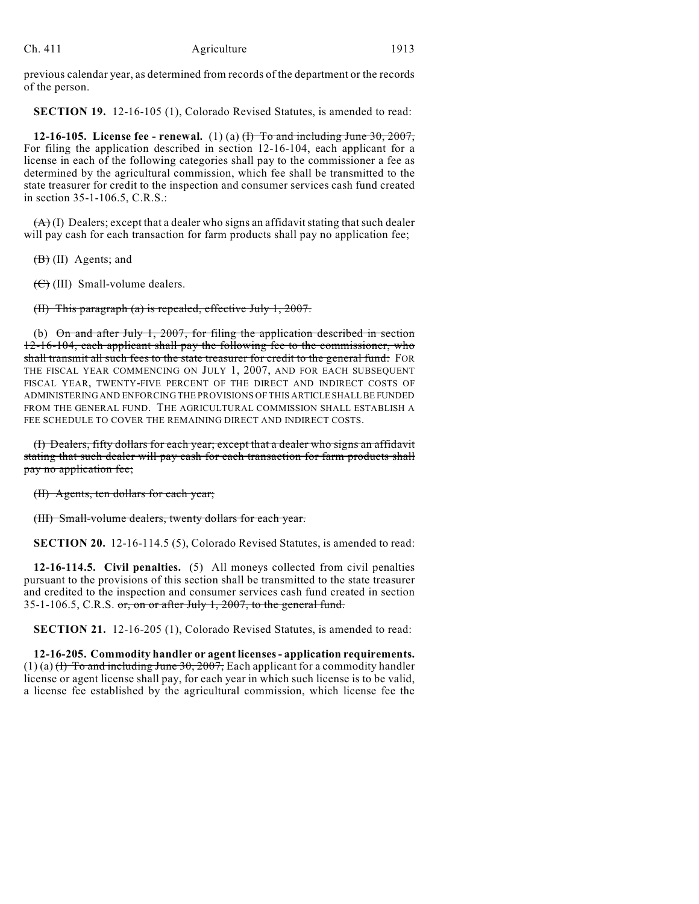previous calendar year, as determined from records of the department or the records of the person.

**SECTION 19.** 12-16-105 (1), Colorado Revised Statutes, is amended to read:

**12-16-105. License fee - renewal.** (1) (a) (I) To and including June 30, 2007, For filing the application described in section 12-16-104, each applicant for a license in each of the following categories shall pay to the commissioner a fee as determined by the agricultural commission, which fee shall be transmitted to the state treasurer for credit to the inspection and consumer services cash fund created in section 35-1-106.5, C.R.S.:

 $(A)$  (I) Dealers; except that a dealer who signs an affidavit stating that such dealer will pay cash for each transaction for farm products shall pay no application fee;

(B) (II) Agents; and

 $(\theta)$  (III) Small-volume dealers.

(II) This paragraph (a) is repealed, effective July 1, 2007.

(b) On and after July 1, 2007, for filing the application described in section 12-16-104, each applicant shall pay the following fee to the commissioner, who shall transmit all such fees to the state treasurer for credit to the general fund: FOR THE FISCAL YEAR COMMENCING ON JULY 1, 2007, AND FOR EACH SUBSEQUENT FISCAL YEAR, TWENTY-FIVE PERCENT OF THE DIRECT AND INDIRECT COSTS OF ADMINISTERING AND ENFORCING THE PROVISIONS OF THIS ARTICLE SHALL BE FUNDED FROM THE GENERAL FUND. THE AGRICULTURAL COMMISSION SHALL ESTABLISH A FEE SCHEDULE TO COVER THE REMAINING DIRECT AND INDIRECT COSTS.

(I) Dealers, fifty dollars for each year; except that a dealer who signs an affidavit stating that such dealer will pay cash for each transaction for farm products shall pay no application fee;

(II) Agents, ten dollars for each year;

(III) Small-volume dealers, twenty dollars for each year.

**SECTION 20.** 12-16-114.5 (5), Colorado Revised Statutes, is amended to read:

**12-16-114.5. Civil penalties.** (5) All moneys collected from civil penalties pursuant to the provisions of this section shall be transmitted to the state treasurer and credited to the inspection and consumer services cash fund created in section 35-1-106.5, C.R.S.  $\sigma$ r, on or after July 1, 2007, to the general fund.

**SECTION 21.** 12-16-205 (1), Colorado Revised Statutes, is amended to read:

**12-16-205. Commodity handler or agent licenses - application requirements.**  $(1)$  (a)  $\overline{H}$  To and including June 30, 2007, Each applicant for a commodity handler license or agent license shall pay, for each year in which such license is to be valid, a license fee established by the agricultural commission, which license fee the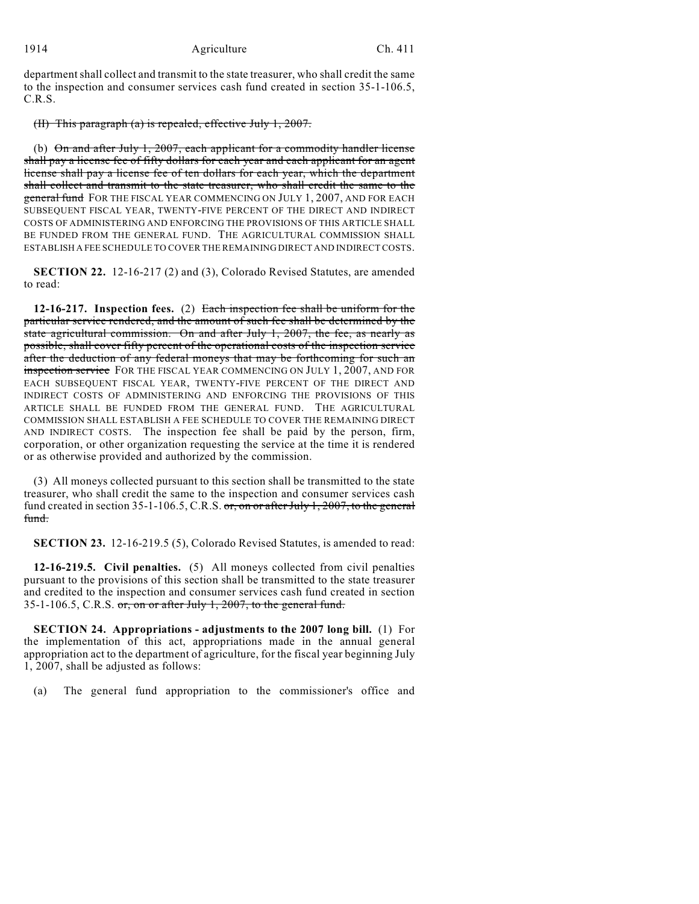department shall collect and transmit to the state treasurer, who shall credit the same to the inspection and consumer services cash fund created in section 35-1-106.5, C.R.S.

## (II) This paragraph (a) is repealed, effective July 1, 2007.

(b)  $\Theta$ n and after July 1, 2007, each applicant for a commodity handler license shall pay a license fee of fifty dollars for each year and each applicant for an agent license shall pay a license fee of ten dollars for each year, which the department shall collect and transmit to the state treasurer, who shall credit the same to the **general fund** FOR THE FISCAL YEAR COMMENCING ON JULY 1, 2007, AND FOR EACH SUBSEQUENT FISCAL YEAR, TWENTY-FIVE PERCENT OF THE DIRECT AND INDIRECT COSTS OF ADMINISTERING AND ENFORCING THE PROVISIONS OF THIS ARTICLE SHALL BE FUNDED FROM THE GENERAL FUND. THE AGRICULTURAL COMMISSION SHALL ESTABLISH A FEE SCHEDULE TO COVER THE REMAINING DIRECT AND INDIRECT COSTS.

**SECTION 22.** 12-16-217 (2) and (3), Colorado Revised Statutes, are amended to read:

**12-16-217. Inspection fees.** (2) Each inspection fee shall be uniform for the particular service rendered, and the amount of such fee shall be determined by the state agricultural commission. On and after July 1, 2007, the fee, as nearly as possible, shall cover fifty percent of the operational costs of the inspection service after the deduction of any federal moneys that may be forthcoming for such an inspection service FOR THE FISCAL YEAR COMMENCING ON JULY 1, 2007, AND FOR EACH SUBSEQUENT FISCAL YEAR, TWENTY-FIVE PERCENT OF THE DIRECT AND INDIRECT COSTS OF ADMINISTERING AND ENFORCING THE PROVISIONS OF THIS ARTICLE SHALL BE FUNDED FROM THE GENERAL FUND. THE AGRICULTURAL COMMISSION SHALL ESTABLISH A FEE SCHEDULE TO COVER THE REMAINING DIRECT AND INDIRECT COSTS. The inspection fee shall be paid by the person, firm, corporation, or other organization requesting the service at the time it is rendered or as otherwise provided and authorized by the commission.

(3) All moneys collected pursuant to this section shall be transmitted to the state treasurer, who shall credit the same to the inspection and consumer services cash fund created in section 35-1-106.5, C.R.S. or, on or after July 1, 2007, to the general fund.

**SECTION 23.** 12-16-219.5 (5), Colorado Revised Statutes, is amended to read:

**12-16-219.5. Civil penalties.** (5) All moneys collected from civil penalties pursuant to the provisions of this section shall be transmitted to the state treasurer and credited to the inspection and consumer services cash fund created in section 35-1-106.5, C.R.S.  $\sigma$ r, on or after July 1, 2007, to the general fund.

**SECTION 24. Appropriations - adjustments to the 2007 long bill.** (1) For the implementation of this act, appropriations made in the annual general appropriation act to the department of agriculture, for the fiscal year beginning July 1, 2007, shall be adjusted as follows:

(a) The general fund appropriation to the commissioner's office and